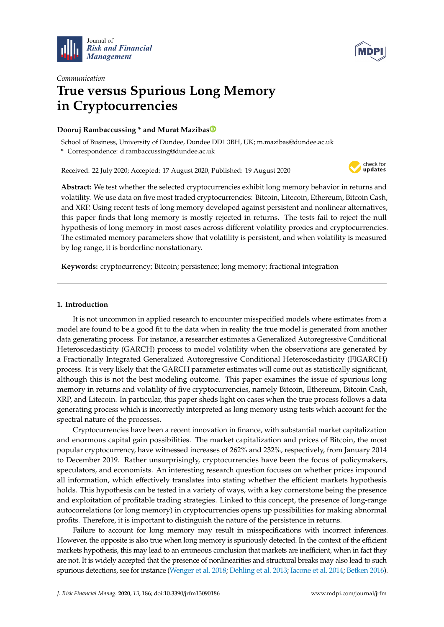



# *Communication* **True versus Spurious Long Memory in Cryptocurrencies**

# **Dooruj Rambaccussing \* and Murat Maziba[s](https://orcid.org/0000-0001-9840-9661)**

School of Business, University of Dundee, Dundee DD1 3BH, UK; m.mazibas@dundee.ac.uk **\*** Correspondence: d.rambaccussing@dundee.ac.uk

Received: 22 July 2020; Accepted: 17 August 2020; Published: 19 August 2020



**Abstract:** We test whether the selected cryptocurrencies exhibit long memory behavior in returns and volatility. We use data on five most traded cryptocurrencies: Bitcoin, Litecoin, Ethereum, Bitcoin Cash, and XRP. Using recent tests of long memory developed against persistent and nonlinear alternatives, this paper finds that long memory is mostly rejected in returns. The tests fail to reject the null hypothesis of long memory in most cases across different volatility proxies and cryptocurrencies. The estimated memory parameters show that volatility is persistent, and when volatility is measured by log range, it is borderline nonstationary.

**Keywords:** cryptocurrency; Bitcoin; persistence; long memory; fractional integration

# **1. Introduction**

It is not uncommon in applied research to encounter misspecified models where estimates from a model are found to be a good fit to the data when in reality the true model is generated from another data generating process. For instance, a researcher estimates a Generalized Autoregressive Conditional Heteroscedasticity (GARCH) process to model volatility when the observations are generated by a Fractionally Integrated Generalized Autoregressive Conditional Heteroscedasticity (FIGARCH) process. It is very likely that the GARCH parameter estimates will come out as statistically significant, although this is not the best modeling outcome. This paper examines the issue of spurious long memory in returns and volatility of five cryptocurrencies, namely Bitcoin, Ethereum, Bitcoin Cash, XRP, and Litecoin. In particular, this paper sheds light on cases when the true process follows a data generating process which is incorrectly interpreted as long memory using tests which account for the spectral nature of the processes.

Cryptocurrencies have been a recent innovation in finance, with substantial market capitalization and enormous capital gain possibilities. The market capitalization and prices of Bitcoin, the most popular cryptocurrency, have witnessed increases of 262% and 232%, respectively, from January 2014 to December 2019. Rather unsurprisingly, cryptocurrencies have been the focus of policymakers, speculators, and economists. An interesting research question focuses on whether prices impound all information, which effectively translates into stating whether the efficient markets hypothesis holds. This hypothesis can be tested in a variety of ways, with a key cornerstone being the presence and exploitation of profitable trading strategies. Linked to this concept, the presence of long-range autocorrelations (or long memory) in cryptocurrencies opens up possibilities for making abnormal profits. Therefore, it is important to distinguish the nature of the persistence in returns.

Failure to account for long memory may result in misspecifications with incorrect inferences. However, the opposite is also true when long memory is spuriously detected. In the context of the efficient markets hypothesis, this may lead to an erroneous conclusion that markets are inefficient, when in fact they are not. It is widely accepted that the presence of nonlinearities and structural breaks may also lead to such spurious detections, see for instance [\(Wenger et al.](#page-10-0) [2018;](#page-10-0) [Dehling et al.](#page-9-0) [2013;](#page-9-0) [Iacone et al.](#page-9-1) [2014;](#page-9-1) [Betken](#page-9-2) [2016\)](#page-9-2).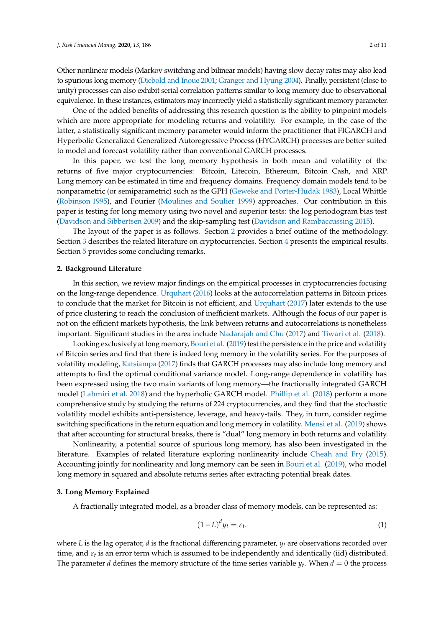Other nonlinear models (Markov switching and bilinear models) having slow decay rates may also lead to spurious long memory [\(Diebold and Inoue](#page-9-3) [2001;](#page-9-3) [Granger and Hyung](#page-9-4) [2004\)](#page-9-4). Finally, persistent (close to unity) processes can also exhibit serial correlation patterns similar to long memory due to observational equivalence. In these instances, estimators may incorrectly yield a statistically significant memory parameter.

One of the added benefits of addressing this research question is the ability to pinpoint models which are more appropriate for modeling returns and volatility. For example, in the case of the latter, a statistically significant memory parameter would inform the practitioner that FIGARCH and Hyperbolic Generalized Generalized Autoregressive Process (HYGARCH) processes are better suited to model and forecast volatility rather than conventional GARCH processes.

In this paper, we test the long memory hypothesis in both mean and volatility of the returns of five major cryptocurrencies: Bitcoin, Litecoin, Ethereum, Bitcoin Cash, and XRP. Long memory can be estimated in time and frequency domains. Frequency domain models tend to be nonparametric (or semiparametric) such as the GPH [\(Geweke and Porter-Hudak](#page-9-5) [1983\)](#page-9-5), Local Whittle [\(Robinson](#page-9-6) [1995\)](#page-9-6), and Fourier [\(Moulines and Soulier](#page-9-7) [1999\)](#page-9-7) approaches. Our contribution in this paper is testing for long memory using two novel and superior tests: the log periodogram bias test [\(Davidson and Sibbertsen](#page-9-8) [2009\)](#page-9-8) and the skip-sampling test [\(Davidson and Rambaccussing](#page-9-9) [2015\)](#page-9-9).

The layout of the paper is as follows. Section [2](#page-1-0) provides a brief outline of the methodology. Section [3](#page-1-1) describes the related literature on cryptocurrencies. Section [4](#page-4-0) presents the empirical results. Section [5](#page-5-0) provides some concluding remarks.

#### <span id="page-1-0"></span>**2. Background Literature**

In this section, we review major findings on the empirical processes in cryptocurrencies focusing on the long-range dependence. [Urquhart](#page-10-1) [\(2016\)](#page-10-1) looks at the autocorrelation patterns in Bitcoin prices to conclude that the market for Bitcoin is not efficient, and [Urquhart](#page-10-2) [\(2017\)](#page-10-2) later extends to the use of price clustering to reach the conclusion of inefficient markets. Although the focus of our paper is not on the efficient markets hypothesis, the link between returns and autocorrelations is nonetheless important. Significant studies in the area include [Nadarajah and Chu](#page-9-10) [\(2017\)](#page-9-10) and [Tiwari et al.](#page-9-11) [\(2018\)](#page-9-11).

Looking exclusively at long memory, [Bouri et al.](#page-9-12) [\(2019\)](#page-9-12) test the persistence in the price and volatility of Bitcoin series and find that there is indeed long memory in the volatility series. For the purposes of volatility modeling, [Katsiampa](#page-9-13) [\(2017\)](#page-9-13) finds that GARCH processes may also include long memory and attempts to find the optimal conditional variance model. Long-range dependence in volatility has been expressed using the two main variants of long memory—the fractionally integrated GARCH model [\(Lahmiri et al.](#page-9-14) [2018\)](#page-9-14) and the hyperbolic GARCH model. [Phillip et al.](#page-9-15) [\(2018\)](#page-9-15) perform a more comprehensive study by studying the returns of 224 cryptocurrencies, and they find that the stochastic volatility model exhibits anti-persistence, leverage, and heavy-tails. They, in turn, consider regime switching specifications in the return equation and long memory in volatility. [Mensi et al.](#page-9-16) [\(2019\)](#page-9-16) shows that after accounting for structural breaks, there is "dual" long memory in both returns and volatility.

Nonlinearity, a potential source of spurious long memory, has also been investigated in the literature. Examples of related literature exploring nonlinearity include [Cheah and Fry](#page-9-17) [\(2015\)](#page-9-17). Accounting jointly for nonlinearity and long memory can be seen in [Bouri et al.](#page-9-12) [\(2019\)](#page-9-12), who model long memory in squared and absolute returns series after extracting potential break dates.

#### <span id="page-1-1"></span>**3. Long Memory Explained**

A fractionally integrated model, as a broader class of memory models, can be represented as:

$$
(1-L)^d y_t = \varepsilon_t. \tag{1}
$$

where *L* is the lag operator, *d* is the fractional differencing parameter, *y<sup>t</sup>* are observations recorded over time, and  $\varepsilon_t$  is an error term which is assumed to be independently and identically (iid) distributed. The parameter *d* defines the memory structure of the time series variable  $y_t$ . When  $d = 0$  the process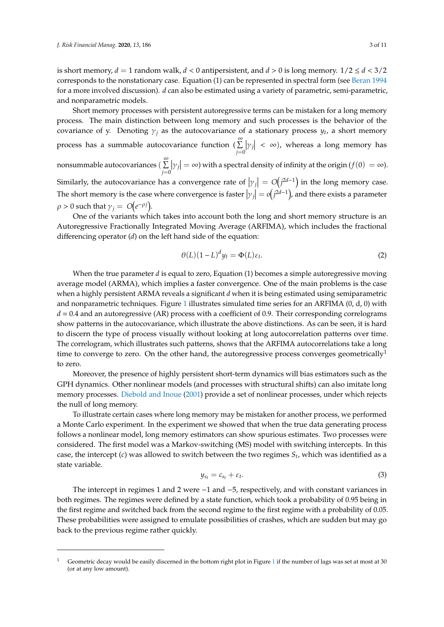is short memory,  $d = 1$  random walk,  $d < 0$  antipersistent, and  $d > 0$  is long memory.  $1/2 \leq d < 3/2$ corresponds to the nonstationary case. Equation (1) can be represented in spectral form (see [Beran](#page-9-18) [1994](#page-9-18) for a more involved discussion). *d* can also be estimated using a variety of parametric, semi-parametric, and nonparametric models.

Short memory processes with persistent autoregressive terms can be mistaken for a long memory process. The main distinction between long memory and such processes is the behavior of the covariance of y. Denoting γ*<sup>j</sup>* as the autocovariance of a stationary process *y<sup>t</sup>* , a short memory process has a summable autocovariance function ( $\sum_{n=1}^{\infty}$ ) *j*=0  $\left|\gamma_j\right| < \infty$ ), whereas a long memory has nonsummable autocovariances ( $\sum^{\infty}$ *j*=0  $\left|\gamma_j\right| = \infty$ ) with a spectral density of infinity at the origin ( $f(0) = \infty$ ). Similarly, the autocovariance has a convergence rate of  $|\gamma_j| = O(j^{2d-1})$  in the long memory case. The short memory is the case where convergence is faster  $|\gamma_j| = o(j^{2d-1})$ , and there exists a parameter  $\rho > 0$  such that  $\gamma_j = O(e^{-\rho j})$ .

One of the variants which takes into account both the long and short memory structure is an Autoregressive Fractionally Integrated Moving Average (ARFIMA), which includes the fractional differencing operator (*d*) on the left hand side of the equation:

$$
\theta(L)(1-L)^d y_t = \Phi(L)\varepsilon_t.
$$
 (2)

When the true parameter *d* is equal to zero, Equation (1) becomes a simple autoregressive moving average model (ARMA), which implies a faster convergence. One of the main problems is the case when a highly persistent ARMA reveals a significant *d* when it is being estimated using semiparametric and nonparametric techniques. Figure [1](#page-3-0) illustrates simulated time series for an ARFIMA  $(0, d, 0)$  with  $d = 0.4$  and an autoregressive (AR) process with a coefficient of 0.9. Their corresponding correlograms show patterns in the autocovariance, which illustrate the above distinctions. As can be seen, it is hard to discern the type of process visually without looking at long autocorrelation patterns over time. The correlogram, which illustrates such patterns, shows that the ARFIMA autocorrelations take a long time to converge to zero. On the other hand, the autoregressive process converges geometrically<sup>1</sup> to zero.

Moreover, the presence of highly persistent short-term dynamics will bias estimators such as the GPH dynamics. Other nonlinear models (and processes with structural shifts) can also imitate long memory processes. [Diebold and Inoue](#page-9-3) [\(2001\)](#page-9-3) provide a set of nonlinear processes, under which rejects the null of long memory.

To illustrate certain cases where long memory may be mistaken for another process, we performed a Monte Carlo experiment. In the experiment we showed that when the true data generating process follows a nonlinear model, long memory estimators can show spurious estimates. Two processes were considered. The first model was a Markov-switching (MS) model with switching intercepts. In this case, the intercept (*c*) was allowed to switch between the two regimes *S<sup>t</sup>* , which was identified as a state variable.

$$
y_{s_t} = c_{s_t} + \varepsilon_t. \tag{3}
$$

The intercept in regimes 1 and 2 were −1 and −5, respectively, and with constant variances in both regimes. The regimes were defined by a state function, which took a probability of 0.95 being in the first regime and switched back from the second regime to the first regime with a probability of 0.05. These probabilities were assigned to emulate possibilities of crashes, which are sudden but may go back to the previous regime rather quickly.

<sup>&</sup>lt;sup>[1](#page-3-0)</sup> Geometric decay would be easily discerned in the bottom right plot in Figure 1 if the number of lags was set at most at 30 (or at any low amount).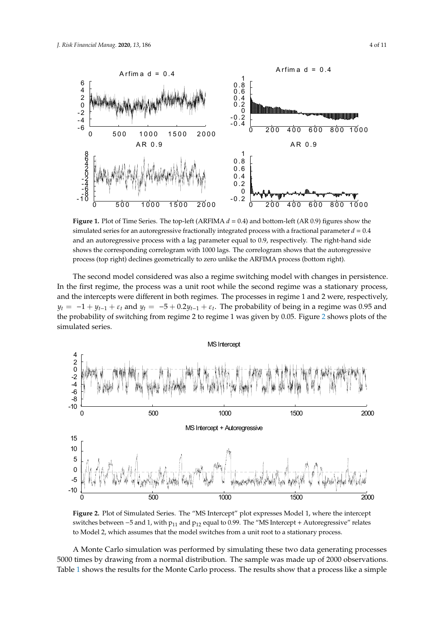<span id="page-3-0"></span>

Figure 1. Plot of Time Series. The top-left (ARFIMA  $d = 0.4$ ) and bottom-left (AR 0.9) figures show the simulated series for an autoregressive fractionally integrated process with a fractional parameter  $d = 0.4$ and an autoregressive process with a lag parameter equal to 0.9, respectively. The right-hand side shows the corresponding correlogram with 1000 lags. The correlogram shows that the autoregressive process (top right) declines geometrically to zero unlike the ARFIMA process (bottom right).

The second model considered was also a regime switching model with changes in persistence. In the first regime, the process was a unit root while the second regime was a stationary process,  $y_t = -1 + y_{t-1} + \varepsilon_t$  and  $y_t = -5 + 0.2y_{t-1} + \varepsilon_t$ . The probability of being in a regime was 0.95 and the probability of switching from regime [2](#page-3-1) to regime 1 was given by 0.05. Figure 2 shows plots of the and the intercepts were different in both regimes. The processes in regime 1 and 2 were, respectively, simulated series. The second model considered was also a regime switching model with changes in persistence. In the second model considered was also a regime switching model with changes in persistent

<span id="page-3-1"></span>

**Figure 2.** Plot of Simulated Series. The "MS Intercept" plot expresses Model 1, where the intercept switches between −5 and 1, with p<sub>11</sub> and p<sub>12</sub> equal to 0.99. The "MS Intercept + Autoregressive" relates to Model 2, which assumes that the model switches from a unit root to a stationary process. to Model 2, which assumes that the model switches from a unit root to a stationary process.

A Monte Carlo simulation was performed by simulating these two data generating processes 5000 times by drawing from a normal distribution. The sample was made up of 2000 observations. 5000 times by drawing from a normal distribution. The sample was made up of 2000 observations. The sample was made up of 2000 observations. The sample was made up of 2000 observations. The sample was made up of 2000 observ Table 1 shows the results for the Monte Carlo process. The results show that a process like a simple Table [1](#page-4-1) shows the results for the Monte Carlo process. The results show that a process like a simpleA Monte Carlo simulation was performed by simulating these two data generating processes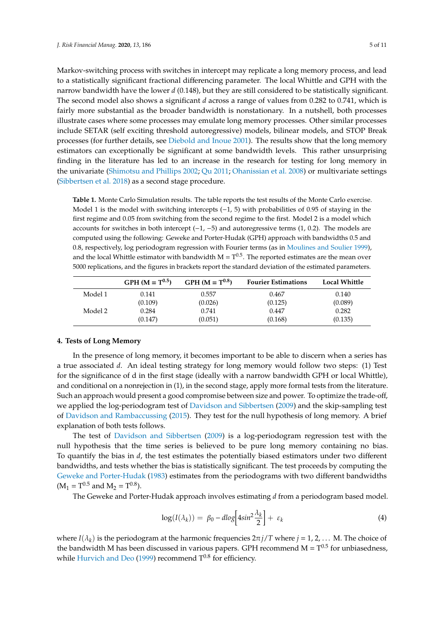Markov-switching process with switches in intercept may replicate a long memory process, and lead to a statistically significant fractional differencing parameter. The local Whittle and GPH with the narrow bandwidth have the lower *d* (0.148), but they are still considered to be statistically significant. The second model also shows a significant *d* across a range of values from 0.282 to 0.741, which is fairly more substantial as the broader bandwidth is nonstationary. In a nutshell, both processes illustrate cases where some processes may emulate long memory processes. Other similar processes include SETAR (self exciting threshold autoregressive) models, bilinear models, and STOP Break processes (for further details, see [Diebold and Inoue](#page-9-3) [2001\)](#page-9-3). The results show that the long memory estimators can exceptionally be significant at some bandwidth levels. This rather unsurprising finding in the literature has led to an increase in the research for testing for long memory in the univariate [\(Shimotsu and Phillips](#page-9-19) [2002;](#page-9-19) [Qu](#page-9-20) [2011;](#page-9-20) [Ohanissian et al.](#page-9-21) [2008\)](#page-9-21) or multivariate settings [\(Sibbertsen et al.](#page-9-22) [2018\)](#page-9-22) as a second stage procedure.

<span id="page-4-1"></span>**Table 1.** Monte Carlo Simulation results. The table reports the test results of the Monte Carlo exercise. Model 1 is the model with switching intercepts  $(-1, 5)$  with probabilities of 0.95 of staying in the first regime and 0.05 from switching from the second regime to the first. Model 2 is a model which accounts for switches in both intercept (−1, −5) and autoregressive terms (1, 0.2). The models are computed using the following: Geweke and Porter-Hudak (GPH) approach with bandwidths 0.5 and 0.8, respectively, log periodogram regression with Fourier terms (as in [Moulines and Soulier](#page-9-7) [1999\)](#page-9-7), and the local Whittle estimator with bandwidth M =  $\rm T^{0.5}.$  The reported estimates are the mean over 5000 replications, and the figures in brackets report the standard deviation of the estimated parameters.

|         | $GPH (M = T^{0.5})$ | $GPH (M = T^{0.8})$ | <b>Fourier Estimations</b> | Local Whittle |
|---------|---------------------|---------------------|----------------------------|---------------|
| Model 1 | 0.141               | 0.557               | 0.467                      | 0.140         |
|         | (0.109)             | (0.026)             | (0.125)                    | (0.089)       |
| Model 2 | 0.284               | 0.741               | 0.447                      | 0.282         |
|         | (0.147)             | (0.051)             | (0.168)                    | (0.135)       |

## <span id="page-4-0"></span>**4. Tests of Long Memory**

In the presence of long memory, it becomes important to be able to discern when a series has a true associated *d*. An ideal testing strategy for long memory would follow two steps: (1) Test for the significance of d in the first stage (ideally with a narrow bandwidth GPH or local Whittle), and conditional on a nonrejection in (1), in the second stage, apply more formal tests from the literature. Such an approach would present a good compromise between size and power. To optimize the trade-off, we applied the log-periodogram test of [Davidson and Sibbertsen](#page-9-8) [\(2009\)](#page-9-8) and the skip-sampling test of [Davidson and Rambaccussing](#page-9-9) [\(2015\)](#page-9-9). They test for the null hypothesis of long memory. A brief explanation of both tests follows.

The test of [Davidson and Sibbertsen](#page-9-8) [\(2009\)](#page-9-8) is a log-periodogram regression test with the null hypothesis that the time series is believed to be pure long memory containing no bias. To quantify the bias in *d*, the test estimates the potentially biased estimators under two different bandwidths, and tests whether the bias is statistically significant. The test proceeds by computing the [Geweke and Porter-Hudak](#page-9-5) [\(1983\)](#page-9-5) estimates from the periodograms with two different bandwidths  $(M_1 = T^{0.5} \text{ and } M_2 = T^{0.8}).$ 

The Geweke and Porter-Hudak approach involves estimating *d* from a periodogram based model.

$$
\log(I(\lambda_k)) = \beta_0 - d\log\left[4\sin^2\frac{\lambda_k}{2}\right] + \varepsilon_k \tag{4}
$$

where  $I(\lambda_k)$  is the periodogram at the harmonic frequencies  $2\pi j/T$  where  $j = 1, 2, ...$  M. The choice of the bandwidth M has been discussed in various papers. GPH recommend  $M = T^{0.5}$  for unbiasedness, while [Hurvich and Deo](#page-9-23) [\(1999\)](#page-9-23) recommend  $T^{0.8}$  for efficiency.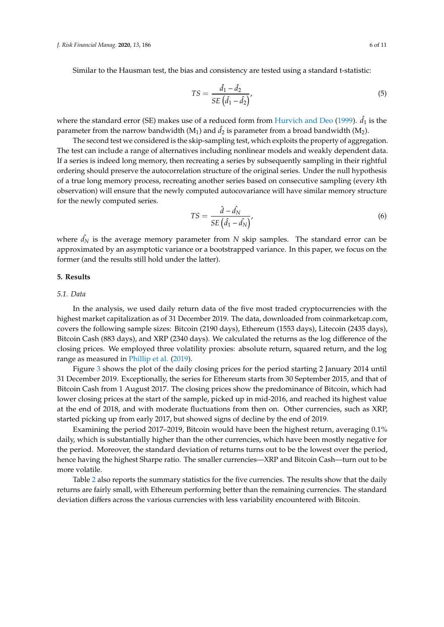Similar to the Hausman test, the bias and consistency are tested using a standard t-statistic:

$$
TS = \frac{\hat{d}_1 - \hat{d}_2}{SE\left(\hat{d}_1 - \hat{d}_2\right)}\tag{5}
$$

where the standard error (SE) makes use of a reduced form from [Hurvich and Deo](#page-9-23) [\(1999\)](#page-9-23).  $\hat{d}_1$  is the parameter from the narrow bandwidth ( $M_1$ ) and  $\hat{d}_2$  is parameter from a broad bandwidth ( $M_2$ ).

The second test we considered is the skip-sampling test, which exploits the property of aggregation. The test can include a range of alternatives including nonlinear models and weakly dependent data. If a series is indeed long memory, then recreating a series by subsequently sampling in their rightful ordering should preserve the autocorrelation structure of the original series. Under the null hypothesis of a true long memory process, recreating another series based on consecutive sampling (every *k*th observation) will ensure that the newly computed autocovariance will have similar memory structure for the newly computed series.

$$
TS = \frac{\hat{d} - \hat{d_N}}{SE\left(\hat{d}_1 - \hat{d_N}\right)},\tag{6}
$$

where  $\hat{d}_N$  is the average memory parameter from *N* skip samples. The standard error can be approximated by an asymptotic variance or a bootstrapped variance. In this paper, we focus on the former (and the results still hold under the latter).

### <span id="page-5-0"></span>**5. Results**

#### *5.1. Data*

In the analysis, we used daily return data of the five most traded cryptocurrencies with the highest market capitalization as of 31 December 2019. The data, downloaded from coinmarketcap.com, covers the following sample sizes: Bitcoin (2190 days), Ethereum (1553 days), Litecoin (2435 days), Bitcoin Cash (883 days), and XRP (2340 days). We calculated the returns as the log difference of the closing prices. We employed three volatility proxies: absolute return, squared return, and the log range as measured in [Phillip et al.](#page-9-24) [\(2019\)](#page-9-24).

Figure [3](#page-6-0) shows the plot of the daily closing prices for the period starting 2 January 2014 until 31 December 2019. Exceptionally, the series for Ethereum starts from 30 September 2015, and that of Bitcoin Cash from 1 August 2017. The closing prices show the predominance of Bitcoin, which had lower closing prices at the start of the sample, picked up in mid-2016, and reached its highest value at the end of 2018, and with moderate fluctuations from then on. Other currencies, such as XRP, started picking up from early 2017, but showed signs of decline by the end of 2019.

Examining the period 2017–2019, Bitcoin would have been the highest return, averaging 0.1% daily, which is substantially higher than the other currencies, which have been mostly negative for the period. Moreover, the standard deviation of returns turns out to be the lowest over the period, hence having the highest Sharpe ratio. The smaller currencies—XRP and Bitcoin Cash—turn out to be more volatile.

Table [2](#page-6-1) also reports the summary statistics for the five currencies. The results show that the daily returns are fairly small, with Ethereum performing better than the remaining currencies. The standard deviation differs across the various currencies with less variability encountered with Bitcoin.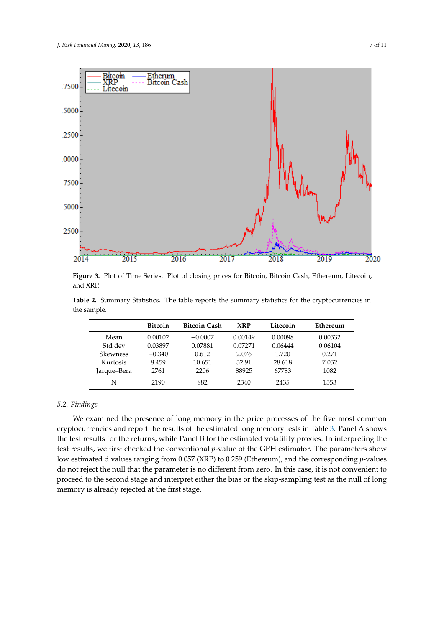<span id="page-6-0"></span>

**Figure 3.** Plot of Time Series. Plot of closing prices for Bitcoin, Bitcoin Cash, Ethereum, Litecoin, XRP. and XRP.

<span id="page-6-1"></span>Table 2. Summary Statistics. The table reports the summary statistics for the cryptocurrencies in the sample.

|                 | <b>Bitcoin</b> | <b>Bitcoin Cash</b> | <b>XRP</b> | Litecoin | Ethereum |
|-----------------|----------------|---------------------|------------|----------|----------|
| Mean            | 0.00102        | $-0.0007$           | 0.00149    | 0.00098  | 0.00332  |
| Std dev         | 0.03897        | 0.07881             | 0.07271    | 0.06444  | 0.06104  |
| <b>Skewness</b> | $-0.340$       | 0.612               | 2.076      | 1.720    | 0.271    |
| Kurtosis        | 8.459          | 10.651              | 32.91      | 28.618   | 7.052    |
| Jarque-Bera     | 2761           | 2206                | 88925      | 67783    | 1082     |
| N               | 2190           | 882                 | 2340       | 2435     | 1553     |

# *5.2. Findings*

We examined the presence of long memory in the price processes of the five most common cryptocurrencies and report the results of the estimated long memory tests in Table [3.](#page-7-0) Panel A shows the test results for the returns, while Panel B for the estimated volatility proxies. In interpreting the test results, we first checked the conventional *p*-value of the GPH estimator. The parameters show low estimated d values ranging from 0.057 (XRP) to 0.259 (Ethereum), and the corresponding *p*-values do not reject the null that the parameter is no different from zero. In this case, it is not convenient to proceed to the second stage and interpret either the bias or the skip-sampling test as the null of long memory is already rejected at the first stage.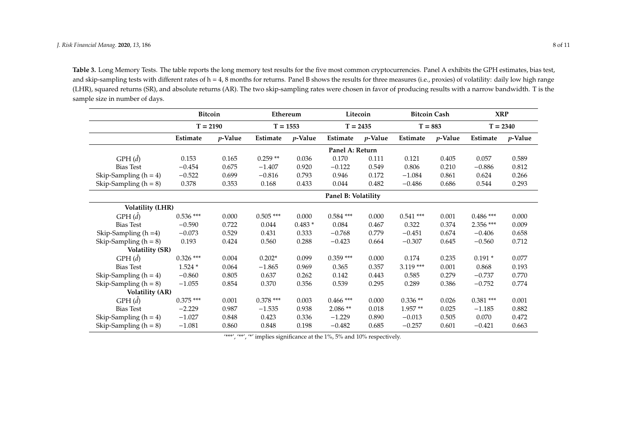**Table 3.** Long Memory Tests. The table reports the long memory test results for the five most common cryptocurrencies. Panel A exhibits the GPH estimates, bias test, and skip-sampling tests with different rates of  $h = 4$ , 8 months for returns. Panel B shows the results for three measures (i.e., proxies) of volatility: daily low high range (LHR), squared returns (SR), and absolute returns (AR). The two skip-sampling rates were chosen in favor of producing results with a narrow bandwidth. T is the sample size in number of days.

<span id="page-7-0"></span>

|                           | <b>Bitcoin</b>      |            | Ethereum    |            | Litecoin    |            | <b>Bitcoin Cash</b> |            | <b>XRP</b>  |            |
|---------------------------|---------------------|------------|-------------|------------|-------------|------------|---------------------|------------|-------------|------------|
|                           | $T = 2190$          |            | $T = 1553$  |            | $T = 2435$  |            | $T = 883$           |            | $T = 2340$  |            |
|                           | Estimate            | $p$ -Value | Estimate    | $p$ -Value | Estimate    | $p$ -Value | Estimate            | $p$ -Value | Estimate    | $p$ -Value |
|                           | Panel A: Return     |            |             |            |             |            |                     |            |             |            |
| $GPH(\hat{d})$            | 0.153               | 0.165      | $0.259**$   | 0.036      | 0.170       | 0.111      | 0.121               | 0.405      | 0.057       | 0.589      |
| <b>Bias Test</b>          | $-0.454$            | 0.675      | $-1.407$    | 0.920      | $-0.122$    | 0.549      | 0.806               | 0.210      | $-0.886$    | 0.812      |
| Skip-Sampling $(h = 4)$   | $-0.522$            | 0.699      | $-0.816$    | 0.793      | 0.946       | 0.172      | $-1.084$            | 0.861      | 0.624       | 0.266      |
| Skip-Sampling $(h = 8)$   | 0.378               | 0.353      | 0.168       | 0.433      | 0.044       | 0.482      | $-0.486$            | 0.686      | 0.544       | 0.293      |
|                           | Panel B: Volatility |            |             |            |             |            |                     |            |             |            |
| <b>Volatility (LHR)</b>   |                     |            |             |            |             |            |                     |            |             |            |
| GPH $(\hat{d})$           | $0.536$ ***         | 0.000      | $0.505$ *** | 0.000      | $0.584$ *** | 0.000      | $0.541$ ***         | 0.001      | $0.486$ *** | 0.000      |
| <b>Bias Test</b>          | $-0.590$            | 0.722      | 0.044       | $0.483*$   | 0.084       | 0.467      | 0.322               | 0.374      | $2.356$ *** | 0.009      |
| Skip-Sampling $(h = 4)$   | $-0.073$            | 0.529      | 0.431       | 0.333      | $-0.768$    | 0.779      | $-0.451$            | 0.674      | $-0.406$    | 0.658      |
| Skip-Sampling $(h = 8)$   | 0.193               | 0.424      | 0.560       | 0.288      | $-0.423$    | 0.664      | $-0.307$            | 0.645      | $-0.560$    | 0.712      |
| <b>Volatility (SR)</b>    |                     |            |             |            |             |            |                     |            |             |            |
| $GPH(\hat{d})$            | $0.326$ ***         | 0.004      | $0.202*$    | 0.099      | $0.359***$  | 0.000      | 0.174               | 0.235      | $0.191*$    | 0.077      |
| <b>Bias Test</b>          | $1.524*$            | 0.064      | $-1.865$    | 0.969      | 0.365       | 0.357      | $3.119***$          | 0.001      | 0.868       | 0.193      |
| Skip-Sampling ( $h = 4$ ) | $-0.860$            | 0.805      | 0.637       | 0.262      | 0.142       | 0.443      | 0.585               | 0.279      | $-0.737$    | 0.770      |
| Skip-Sampling $(h = 8)$   | $-1.055$            | 0.854      | 0.370       | 0.356      | 0.539       | 0.295      | 0.289               | 0.386      | $-0.752$    | 0.774      |
| <b>Volatility (AR)</b>    |                     |            |             |            |             |            |                     |            |             |            |
| $GPH(\hat{d})$            | $0.375$ ***         | 0.001      | $0.378$ *** | 0.003      | $0.466$ *** | 0.000      | $0.336**$           | 0.026      | $0.381$ *** | 0.001      |
| <b>Bias Test</b>          | $-2.229$            | 0.987      | $-1.535$    | 0.938      | $2.086**$   | 0.018      | 1.957**             | 0.025      | $-1.185$    | 0.882      |
| Skip-Sampling ( $h = 4$ ) | $-1.027$            | 0.848      | 0.423       | 0.336      | $-1.229$    | 0.890      | $-0.013$            | 0.505      | 0.070       | 0.472      |
| Skip-Sampling $(h = 8)$   | $-1.081$            | 0.860      | 0.848       | 0.198      | $-0.482$    | 0.685      | $-0.257$            | 0.601      | $-0.421$    | 0.663      |

'\*\*\*', '\*\*', '\*' implies significance at the 1%, 5% and 10% respectively.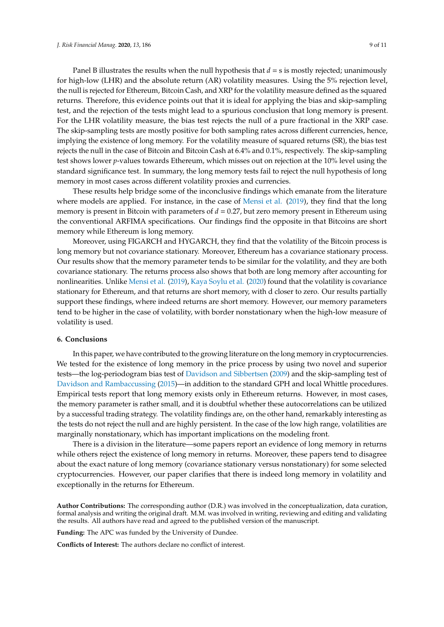Panel B illustrates the results when the null hypothesis that *d* = s is mostly rejected; unanimously for high-low (LHR) and the absolute return (AR) volatility measures. Using the 5% rejection level, the null is rejected for Ethereum, Bitcoin Cash, and XRP for the volatility measure defined as the squared returns. Therefore, this evidence points out that it is ideal for applying the bias and skip-sampling test, and the rejection of the tests might lead to a spurious conclusion that long memory is present. For the LHR volatility measure, the bias test rejects the null of a pure fractional in the XRP case. The skip-sampling tests are mostly positive for both sampling rates across different currencies, hence, implying the existence of long memory. For the volatility measure of squared returns (SR), the bias test rejects the null in the case of Bitcoin and Bitcoin Cash at 6.4% and 0.1%, respectively. The skip-sampling test shows lower *p*-values towards Ethereum, which misses out on rejection at the 10% level using the standard significance test. In summary, the long memory tests fail to reject the null hypothesis of long memory in most cases across different volatility proxies and currencies.

These results help bridge some of the inconclusive findings which emanate from the literature where models are applied. For instance, in the case of [Mensi et al.](#page-9-16) [\(2019\)](#page-9-16), they find that the long memory is present in Bitcoin with parameters of  $d = 0.27$ , but zero memory present in Ethereum using the conventional ARFIMA specifications. Our findings find the opposite in that Bitcoins are short memory while Ethereum is long memory.

Moreover, using FIGARCH and HYGARCH, they find that the volatility of the Bitcoin process is long memory but not covariance stationary. Moreover, Ethereum has a covariance stationary process. Our results show that the memory parameter tends to be similar for the volatility, and they are both covariance stationary. The returns process also shows that both are long memory after accounting for nonlinearities. Unlike [Mensi et al.](#page-9-16) [\(2019\)](#page-9-16), [Kaya Soylu et al.](#page-9-25) [\(2020\)](#page-9-25) found that the volatility is covariance stationary for Ethereum, and that returns are short memory, with d closer to zero. Our results partially support these findings, where indeed returns are short memory. However, our memory parameters tend to be higher in the case of volatility, with border nonstationary when the high-low measure of volatility is used.

#### **6. Conclusions**

In this paper, we have contributed to the growing literature on the long memory in cryptocurrencies. We tested for the existence of long memory in the price process by using two novel and superior tests—the log-periodogram bias test of [Davidson and Sibbertsen](#page-9-8) [\(2009\)](#page-9-8) and the skip-sampling test of [Davidson and Rambaccussing](#page-9-9) [\(2015\)](#page-9-9)—in addition to the standard GPH and local Whittle procedures. Empirical tests report that long memory exists only in Ethereum returns. However, in most cases, the memory parameter is rather small, and it is doubtful whether these autocorrelations can be utilized by a successful trading strategy. The volatility findings are, on the other hand, remarkably interesting as the tests do not reject the null and are highly persistent. In the case of the low high range, volatilities are marginally nonstationary, which has important implications on the modeling front.

There is a division in the literature—some papers report an evidence of long memory in returns while others reject the existence of long memory in returns. Moreover, these papers tend to disagree about the exact nature of long memory (covariance stationary versus nonstationary) for some selected cryptocurrencies. However, our paper clarifies that there is indeed long memory in volatility and exceptionally in the returns for Ethereum.

**Author Contributions:** The corresponding author (D.R.) was involved in the conceptualization, data curation, formal analysis and writing the original draft. M.M. was involved in writing, reviewing and editing and validating the results. All authors have read and agreed to the published version of the manuscript.

**Funding:** The APC was funded by the University of Dundee.

**Conflicts of Interest:** The authors declare no conflict of interest.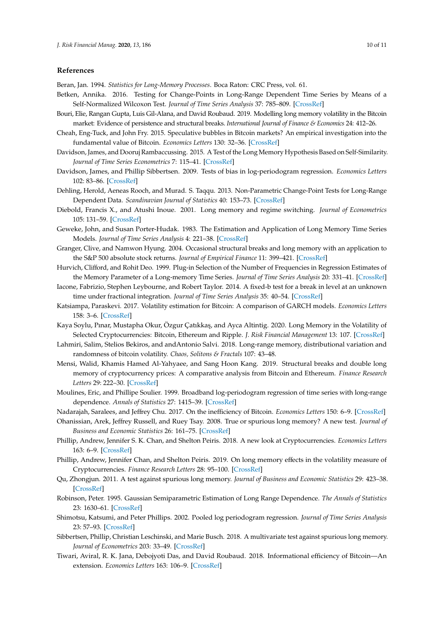#### **References**

<span id="page-9-18"></span>Beran, Jan. 1994. *Statistics for Long-Memory Processes*. Boca Raton: CRC Press, vol. 61.

- <span id="page-9-2"></span>Betken, Annika. 2016. Testing for Change-Points in Long-Range Dependent Time Series by Means of a Self-Normalized Wilcoxon Test. *Journal of Time Series Analysis* 37: 785–809. [\[CrossRef\]](http://dx.doi.org/10.1111/jtsa.12187)
- <span id="page-9-12"></span>Bouri, Elie, Rangan Gupta, Luis Gil-Alana, and David Roubaud. 2019. Modelling long memory volatility in the Bitcoin market: Evidence of persistence and structural breaks. *International Journal of Finance & Economics* 24: 412–26.
- <span id="page-9-17"></span>Cheah, Eng-Tuck, and John Fry. 2015. Speculative bubbles in Bitcoin markets? An empirical investigation into the fundamental value of Bitcoin. *Economics Letters* 130: 32–36. [\[CrossRef\]](http://dx.doi.org/10.1016/j.econlet.2015.02.029)
- <span id="page-9-9"></span>Davidson, James, and Dooruj Rambaccussing. 2015. A Test of the Long Memory Hypothesis Based on Self-Similarity. *Journal of Time Series Econometrics* 7: 115–41. [\[CrossRef\]](http://dx.doi.org/10.1515/jtse-2013-0036)
- <span id="page-9-8"></span>Davidson, James, and Phillip Sibbertsen. 2009. Tests of bias in log-periodogram regression. *Economics Letters* 102: 83–86. [\[CrossRef\]](http://dx.doi.org/10.1016/j.econlet.2008.11.020)
- <span id="page-9-0"></span>Dehling, Herold, Aeneas Rooch, and Murad. S. Taqqu. 2013. Non-Parametric Change-Point Tests for Long-Range Dependent Data. *Scandinavian Journal of Statistics* 40: 153–73. [\[CrossRef\]](http://dx.doi.org/10.1111/j.1467-9469.2012.00799.x)
- <span id="page-9-3"></span>Diebold, Francis X., and Atushi Inoue. 2001. Long memory and regime switching. *Journal of Econometrics* 105: 131–59. [\[CrossRef\]](http://dx.doi.org/10.1016/S0304-4076(01)00073-2)
- <span id="page-9-5"></span>Geweke, John, and Susan Porter-Hudak. 1983. The Estimation and Application of Long Memory Time Series Models. *Journal of Time Series Analysis* 4: 221–38. [\[CrossRef\]](http://dx.doi.org/10.1111/j.1467-9892.1983.tb00371.x)
- <span id="page-9-4"></span>Granger, Clive, and Namwon Hyung. 2004. Occasional structural breaks and long memory with an application to the S&P 500 absolute stock returns. *Journal of Empirical Finance* 11: 399–421. [\[CrossRef\]](http://dx.doi.org/10.1016/j.jempfin.2003.03.001)
- <span id="page-9-23"></span>Hurvich, Clifford, and Rohit Deo. 1999. Plug-in Selection of the Number of Frequencies in Regression Estimates of the Memory Parameter of a Long-memory Time Series. *Journal of Time Series Analysis* 20: 331–41. [\[CrossRef\]](http://dx.doi.org/10.1111/1467-9892.00140)
- <span id="page-9-1"></span>Iacone, Fabrizio, Stephen Leybourne, and Robert Taylor. 2014. A fixed-b test for a break in level at an unknown time under fractional integration. *Journal of Time Series Analysis* 35: 40–54. [\[CrossRef\]](http://dx.doi.org/10.1111/jtsa.12049)
- <span id="page-9-13"></span>Katsiampa, Paraskevi. 2017. Volatility estimation for Bitcoin: A comparison of GARCH models. *Economics Letters* 158: 3–6. [\[CrossRef\]](http://dx.doi.org/10.1016/j.econlet.2017.06.023)
- <span id="page-9-25"></span>Kaya Soylu, Pınar, Mustapha Okur, Özgur Çatıkkaş, and Ayca Altintig. 2020. Long Memory in the Volatility of Selected Cryptocurrencies: Bitcoin, Ethereum and Ripple. *J. Risk Financial Management* 13: 107. [\[CrossRef\]](http://dx.doi.org/10.3390/jrfm13060107)
- <span id="page-9-14"></span>Lahmiri, Salim, Stelios Bekiros, and andAntonio Salvi. 2018. Long-range memory, distributional variation and randomness of bitcoin volatility. *Chaos, Solitons & Fractals* 107: 43–48.
- <span id="page-9-16"></span>Mensi, Walid, Khamis Hamed Al-Yahyaee, and Sang Hoon Kang. 2019. Structural breaks and double long memory of cryptocurrency prices: A comparative analysis from Bitcoin and Ethereum. *Finance Research Letters* 29: 222–30. [\[CrossRef\]](http://dx.doi.org/10.1016/j.frl.2018.07.011)
- <span id="page-9-7"></span>Moulines, Eric, and Phillipe Soulier. 1999. Broadband log-periodogram regression of time series with long-range dependence. *Annals of Statistics* 27: 1415–39. [\[CrossRef\]](http://dx.doi.org/10.1214/aos/1017938932)
- <span id="page-9-10"></span>Nadarajah, Saralees, and Jeffrey Chu. 2017. On the inefficiency of Bitcoin. *Economics Letters* 150: 6–9. [\[CrossRef\]](http://dx.doi.org/10.1016/j.econlet.2016.10.033)
- <span id="page-9-21"></span>Ohanissian, Arek, Jeffrey Russell, and Ruey Tsay. 2008. True or spurious long memory? A new test. *Journal of Business and Economic Statistics* 26: 161–75. [\[CrossRef\]](http://dx.doi.org/10.1198/073500107000000340)
- <span id="page-9-15"></span>Phillip, Andrew, Jennifer S. K. Chan, and Shelton Peiris. 2018. A new look at Cryptocurrencies. *Economics Letters* 163: 6–9. [\[CrossRef\]](http://dx.doi.org/10.1016/j.econlet.2017.11.020)
- <span id="page-9-24"></span>Phillip, Andrew, Jennifer Chan, and Shelton Peiris. 2019. On long memory effects in the volatility measure of Cryptocurrencies. *Finance Research Letters* 28: 95–100. [\[CrossRef\]](http://dx.doi.org/10.1016/j.frl.2018.04.003)
- <span id="page-9-20"></span>Qu, Zhongjun. 2011. A test against spurious long memory. *Journal of Business and Economic Statistics* 29: 423–38. [\[CrossRef\]](http://dx.doi.org/10.1198/jbes.2010.09153)
- <span id="page-9-6"></span>Robinson, Peter. 1995. Gaussian Semiparametric Estimation of Long Range Dependence. *The Annals of Statistics* 23: 1630–61. [\[CrossRef\]](http://dx.doi.org/10.1214/aos/1176324317)
- <span id="page-9-19"></span>Shimotsu, Katsumi, and Peter Phillips. 2002. Pooled log periodogram regression. *Journal of Time Series Analysis* 23: 57–93. [\[CrossRef\]](http://dx.doi.org/10.1111/1467-9892.00575)
- <span id="page-9-22"></span>Sibbertsen, Phillip, Christian Leschinski, and Marie Busch. 2018. A multivariate test against spurious long memory. *Journal of Econometrics* 203: 33–49. [\[CrossRef\]](http://dx.doi.org/10.1016/j.jeconom.2017.07.005)
- <span id="page-9-11"></span>Tiwari, Aviral, R. K. Jana, Debojyoti Das, and David Roubaud. 2018. Informational efficiency of Bitcoin—An extension. *Economics Letters* 163: 106–9. [\[CrossRef\]](http://dx.doi.org/10.1016/j.econlet.2017.12.006)